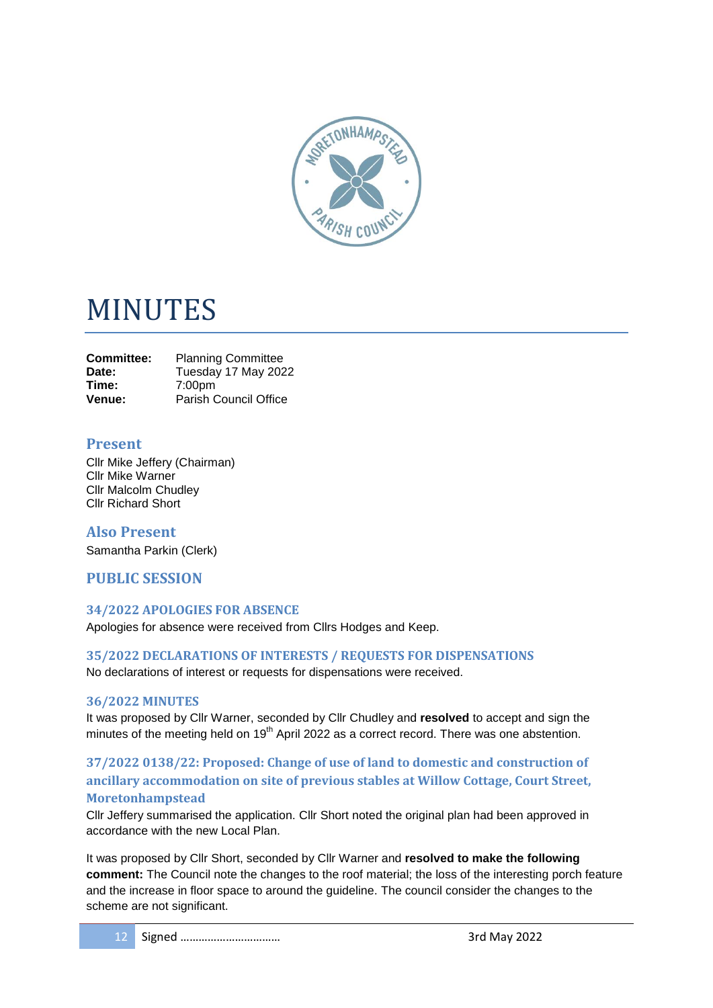

# MINUTES

| <b>Committee:</b> | <b>Planning Committee</b>    |
|-------------------|------------------------------|
| Date:             | Tuesday 17 May 2022          |
| Time:             | 7:00 <sub>pm</sub>           |
| Venue:            | <b>Parish Council Office</b> |

# **Present**

Cllr Mike Jeffery (Chairman) Cllr Mike Warner Cllr Malcolm Chudley Cllr Richard Short

**Also Present** Samantha Parkin (Clerk)

# **PUBLIC SESSION**

#### **34/2022 APOLOGIES FOR ABSENCE**

Apologies for absence were received from Cllrs Hodges and Keep.

#### **35/2022 DECLARATIONS OF INTERESTS / REQUESTS FOR DISPENSATIONS**

No declarations of interest or requests for dispensations were received.

#### **36/2022 MINUTES**

It was proposed by Cllr Warner, seconded by Cllr Chudley and **resolved** to accept and sign the minutes of the meeting held on 19<sup>th</sup> April 2022 as a correct record. There was one abstention.

# **37/2022 0138/22: Proposed: Change of use of land to domestic and construction of ancillary accommodation on site of previous stables at Willow Cottage, Court Street, Moretonhampstead**

Cllr Jeffery summarised the application. Cllr Short noted the original plan had been approved in accordance with the new Local Plan.

It was proposed by Cllr Short, seconded by Cllr Warner and **resolved to make the following comment:** The Council note the changes to the roof material; the loss of the interesting porch feature and the increase in floor space to around the guideline. The council consider the changes to the scheme are not significant.